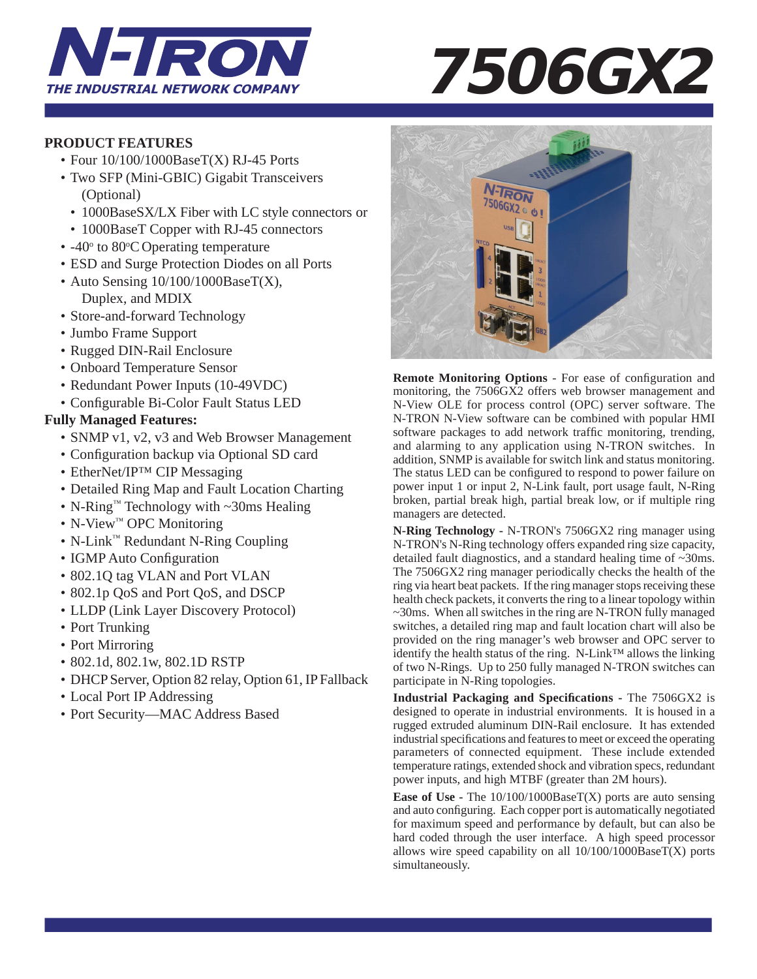

# **THE INDUSTRIAL NETWORK COMPANY 7506GX2**

# **PRODUCT FEATURES**

- Four  $10/100/1000$ BaseT(X) RJ-45 Ports
- Two SFP (Mini-GBIC) Gigabit Transceivers (Optional)
	- 1000BaseSX/LX Fiber with LC style connectors or
	- 1000BaseT Copper with RJ-45 connectors
- $-40^\circ$  to 80 $\degree$ C Operating temperature
	- ESD and Surge Protection Diodes on all Ports
	- Auto Sensing 10/100/1000BaseT(X), Duplex, and MDIX
	- Store-and-forward Technology
	- Jumbo Frame Support
	- Rugged DIN-Rail Enclosure
	- Onboard Temperature Sensor
	- Redundant Power Inputs (10-49VDC)
	- Configurable Bi-Color Fault Status LED

# **Fully Managed Features:**

- SNMP v1, v2, v3 and Web Browser Management
- Configuration backup via Optional SD card
- EtherNet/IP<sup>TM</sup> CIP Messaging
- Detailed Ring Map and Fault Location Charting
- N-Ring™ Technology with ~30ms Healing
- N-View™ OPC Monitoring
- N-Link™ Redundant N-Ring Coupling
- IGMP Auto Configuration
- 802.1Q tag VLAN and Port VLAN
- 802.1p QoS and Port QoS, and DSCP
- LLDP (Link Layer Discovery Protocol)
- Port Trunking
- Port Mirroring
- 802.1d, 802.1w, 802.1D RSTP
- DHCP Server, Option 82 relay, Option 61, IP Fallback
- Local Port IP Addressing
- Port Security—MAC Address Based



**Remote Monitoring Options** - For ease of configuration and monitoring, the 7506GX2 offers web browser management and N-View OLE for process control (OPC) server software. The N-TRON N-View software can be combined with popular HMI software packages to add network traffic monitoring, trending, and alarming to any application using N-TRON switches. In addition, SNMP is available for switch link and status monitoring. The status LED can be configured to respond to power failure on power input 1 or input 2, N-Link fault, port usage fault, N-Ring broken, partial break high, partial break low, or if multiple ring managers are detected.

**N-Ring Technology -** N-TRON's 7506GX2 ring manager using N-TRON's N-Ring technology offers expanded ring size capacity, detailed fault diagnostics, and a standard healing time of ~30ms. The 7506GX2 ring manager periodically checks the health of the ring via heart beat packets. If the ring manager stops receiving these health check packets, it converts the ring to a linear topology within ~30ms. When all switches in the ring are N-TRON fully managed switches, a detailed ring map and fault location chart will also be provided on the ring manager's web browser and OPC server to identify the health status of the ring. N-Link™ allows the linking of two N-Rings. Up to 250 fully managed N-TRON switches can participate in N-Ring topologies.

**Industrial Packaging and Specifications - The 7506GX2 is** designed to operate in industrial environments. It is housed in a rugged extruded aluminum DIN-Rail enclosure. It has extended industrial specifications and features to meet or exceed the operating parameters of connected equipment. These include extended temperature ratings, extended shock and vibration specs, redundant power inputs, and high MTBF (greater than 2M hours).

**Ease of Use -** The  $10/100/1000BaseT(X)$  ports are auto sensing and auto configuring. Each copper port is automatically negotiated for maximum speed and performance by default, but can also be hard coded through the user interface. A high speed processor allows wire speed capability on all  $10/100/1000BaseT(X)$  ports simultaneously.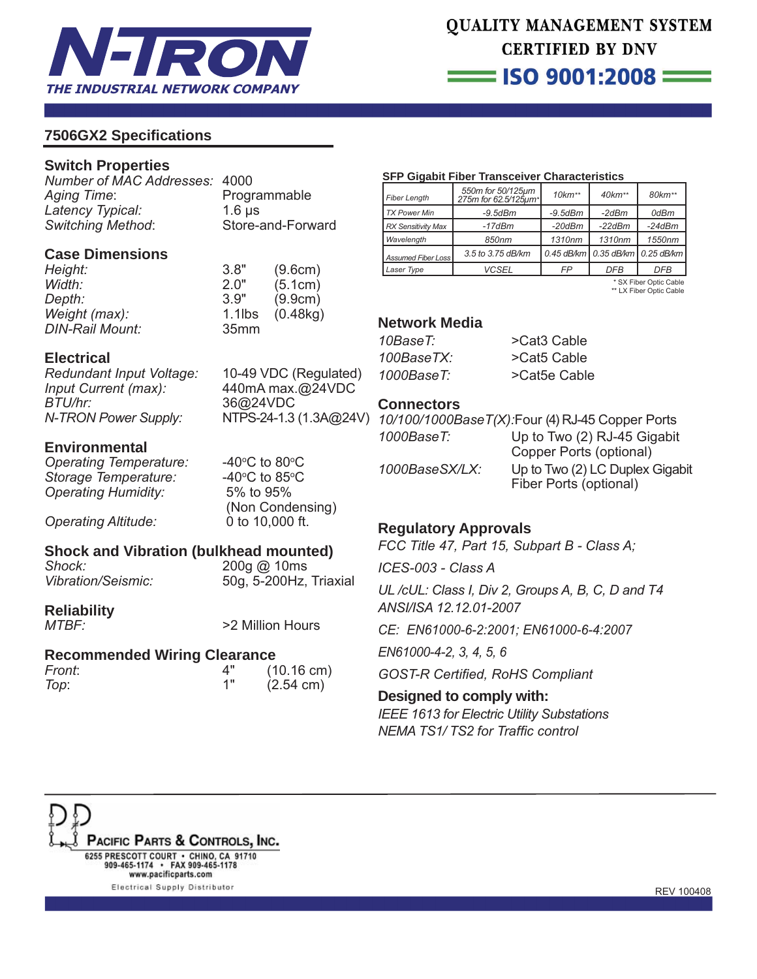

# **QUALITY MANAGEMENT SYSTEM CERTIFIED BY DNV**  $\equiv$  ISO 9001:2008  $\equiv$

# **7506GX2 Specifi cations**

# **Switch Properties**

*Number of MAC Addresses:* 4000 Aging Time: Programmable *Latency Typical:* 1.6 μs *Switching Method*: Store-and-Forward

# **Case Dimensions**

| Height:                | 3.8"             | (9.6cm)  |
|------------------------|------------------|----------|
| Width:                 | 2.0"             | (5.1cm)  |
| <i>Depth:</i>          | 3.9"             | (9.9cm)  |
| Weight (max):          | $1.1$ lbs        | (0.48kg) |
| <b>DIN-Rail Mount:</b> | 35 <sub>mm</sub> |          |

# **Electrical**

*Redundant Input Voltage:* 10-49 VDC (Regulated) *Input Current (max):* 440mA max.@24VDC *BTU/hr:* 36@24VDC *N-TRON Power Supply:* NTPS-24-1.3 (1.3A@24V)

# **Environmental**

*Operating Temperature:* **Storage Temperature:** *Operating Humidity:* 5% to 95%

C to  $80^{\circ}$ C C to  $85^{\circ}$ C (Non Condensing) *Operating Altitude:* 0 to 10,000 ft.

# **Shock and Vibration (bulkhead mounted)**

*Shock:* 200g @ 10ms *Vibration/Seismic:* 50g, 5-200Hz, Triaxial

# **Reliability**

*MTBF:* >2 Million Hours

# **Recommended Wiring Clearance**

| Front: | $(10.16 \text{ cm})$ |
|--------|----------------------|
| Top:   | $(2.54 \text{ cm})$  |

### **SFP Gigabit Fiber Transceiver Characteristics**

| Fiber Lenath              | 550m for 50/125µm<br>275m for 62.5/125um* | $10 km**$     | $40$ k $m**$                         | 80km**     |
|---------------------------|-------------------------------------------|---------------|--------------------------------------|------------|
| <b>TX Power Min</b>       | $-9.5$ d $Bm$                             | $-9.5$ d $Bm$ | $-2dBm$                              | 0dBm       |
| <b>RX Sensitivity Max</b> | $-17dBm$                                  | $-20$ d $Bm$  | $-22dBm$                             | $-24dBm$   |
| Wavelength                | 850nm                                     | 1310nm        | 1310nm                               | 1550nm     |
| Assumed Fiber Loss        | 3.5 to 3.75 dB/km                         |               | 0.45 dB/km   0.35 dB/km   0.25 dB/km |            |
| Laser Type                | <b>VCSEL</b>                              | FP            | <b>DFB</b>                           | <b>DFB</b> |

 \* SX Fiber Optic Cable \*\* LX Fiber Optic Cable

## **Network Media**

*10BaseT:* >Cat3 Cable *100BaseTX:* >Cat5 Cable *1000BaseT:* >Cat5e Cable

# **Connectors**

|                | 10/100/1000Base T(X): Four (4) RJ-45 Copper Ports |
|----------------|---------------------------------------------------|
| 1000BaseT:     | Up to Two (2) RJ-45 Gigabit                       |
|                | Copper Ports (optional)                           |
| 1000BaseSX/LX: | Up to Two (2) LC Duplex Gigabit                   |
|                | Fiber Ports (optional)                            |

# **Regulatory Approvals**

*FCC Title 47, Part 15, Subpart B - Class A;* 

*ICES-003 - Class A*

*UL /cUL: Class I, Div 2, Groups A, B, C, D and T4 ANSI/ISA 12.12.01-2007*

*CE: EN61000-6-2:2001; EN61000-6-4:2007*

*EN61000-4-2, 3, 4, 5, 6*

**GOST-R Certified, RoHS Compliant** 

# **Designed to comply with:**

*IEEE 1613 for Electric Utility Substations* **NEMA TS1/ TS2 for Traffic control**